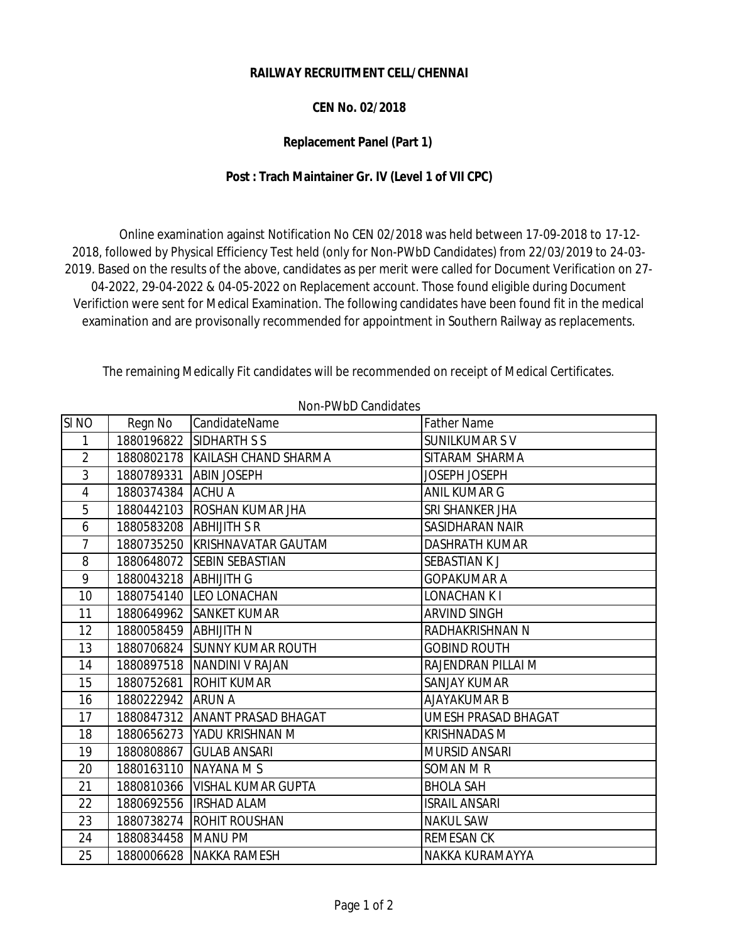## **RAILWAY RECRUITMENT CELL/CHENNAI**

## **CEN No. 02/2018**

## **Replacement Panel (Part 1)**

## **Post : Trach Maintainer Gr. IV (Level 1 of VII CPC)**

 Online examination against Notification No CEN 02/2018 was held between 17-09-2018 to 17-12- 2018, followed by Physical Efficiency Test held (only for Non-PWbD Candidates) from 22/03/2019 to 24-03- 2019. Based on the results of the above, candidates as per merit were called for Document Verification on 27- 04-2022, 29-04-2022 & 04-05-2022 on Replacement account. Those found eligible during Document Verifiction were sent for Medical Examination. The following candidates have been found fit in the medical examination and are provisonally recommended for appointment in Southern Railway as replacements.

The remaining Medically Fit candidates will be recommended on receipt of Medical Certificates.

|                  |                         | <b>IVOITT VVDD GAHARAGU</b>     |                            |
|------------------|-------------------------|---------------------------------|----------------------------|
| SI <sub>NO</sub> | Regn No                 | CandidateName                   | <b>Father Name</b>         |
| 1                |                         | 1880196822 SIDHARTH S S         | <b>SUNILKUMAR SV</b>       |
| $\overline{2}$   |                         | 1880802178 KAILASH CHAND SHARMA | SITARAM SHARMA             |
| 3                | 1880789331 ABIN JOSEPH  |                                 | JOSEPH JOSEPH              |
| $\overline{4}$   | 1880374384 ACHU A       |                                 | ANIL KUMAR G               |
| 5                |                         | 1880442103 ROSHAN KUMAR JHA     | SRI SHANKER JHA            |
| 6                | 1880583208 ABHIJITH SR  |                                 | SASIDHARAN NAIR            |
| $\overline{7}$   |                         | 1880735250 KRISHNAVATAR GAUTAM  | <b>DASHRATH KUMAR</b>      |
| 8                |                         | 1880648072 SEBIN SEBASTIAN      | <b>SEBASTIAN KJ</b>        |
| 9                | 1880043218 ABHIJITH G   |                                 | <b>GOPAKUMAR A</b>         |
| 10               |                         | 1880754140 LEO LONACHAN         | LONACHAN K I               |
| 11               |                         | 1880649962 SANKET KUMAR         | <b>ARVIND SINGH</b>        |
| 12               | 1880058459 ABHIJITH N   |                                 | RADHAKRISHNAN N            |
| 13               |                         | 1880706824 SUNNY KUMAR ROUTH    | <b>GOBIND ROUTH</b>        |
| 14               |                         | 1880897518   NANDINI V RAJAN    | RAJENDRAN PILLAI M         |
| 15               |                         | 1880752681 ROHIT KUMAR          | <b>SANJAY KUMAR</b>        |
| 16               | 1880222942 ARUN A       |                                 | <b>AJAYAKUMAR B</b>        |
| 17               |                         | 1880847312 ANANT PRASAD BHAGAT  | <b>UMESH PRASAD BHAGAT</b> |
| 18               |                         | 1880656273 YADU KRISHNAN M      | <b>KRISHNADAS M</b>        |
| 19               |                         | 1880808867 GULAB ANSARI         | <b>MURSID ANSARI</b>       |
| 20               | 1880163110   NAYANA M S |                                 | SOMAN M R                  |
| 21               |                         | 1880810366   VISHAL KUMAR GUPTA | <b>BHOLA SAH</b>           |
| 22               |                         | 1880692556   IRSHAD ALAM        | <b>ISRAIL ANSARI</b>       |
| 23               |                         | 1880738274 ROHIT ROUSHAN        | <b>NAKUL SAW</b>           |
| 24               | 1880834458 MANU PM      |                                 | <b>REMESAN CK</b>          |
| 25               |                         | 1880006628 NAKKA RAMESH         | NAKKA KURAMAYYA            |

Non-PWbD Candidates